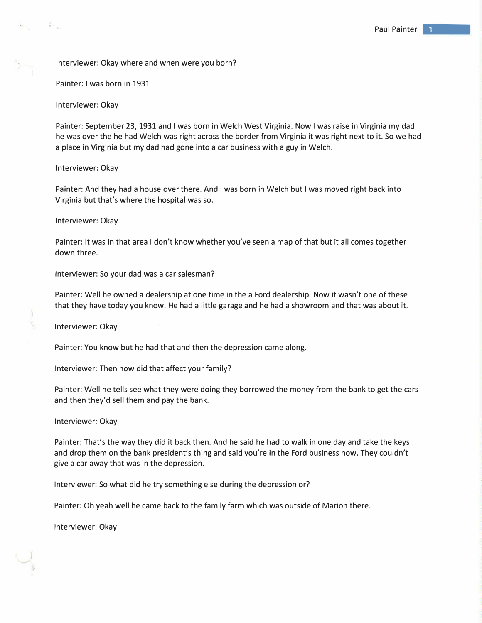Interviewer: Okay where and when were you born?

Painter: I was born in 1931

Interviewer: Okay

 $\mathbb{R}^n$  .

Painter: September 23, 1931 and I was born in Welch West Virginia. Now I was raise in Virginia my dad he was over the he had Welch was right across the border from Virginia it was right next to it. So we had a place in Virginia but my dad had gone into a car business with a guy in Welch.

Interviewer: Okay

Painter: And they had a house over there. And I was born in Welch but I was moved right back into Virginia but that's where the hospital was so.

Interviewer: Okay

Painter: It was in that area I don't know whether you've seen a map of that but it all comes together down three.

Interviewer: So your dad was a car salesman?

Painter: Well he owned a dealership at one time in the a Ford dealership. Now it wasn't one of these that they have today you know. He had a little garage and he had a showroom and that was about it.

Interviewer: Okay

Painter: You know but he had that and then the depression came along.

Interviewer: Then how did that affect your family?

Painter: Well he tells see what they were doing they borrowed the money from the bank to get the cars and then they'd sell them and pay the bank.

Interviewer: Okay

Painter: That's the way they did it back then. And he said he had to walk in one day and take the keys and drop them on the bank president's thing and said you're in the Ford business now. They couldn't give a car away that was in the depression.

Interviewer: So what did he try something else during the depression or?

Painter: Oh yeah well he came back to the family farm which was outside of Marion there.

Interviewer: Okay

••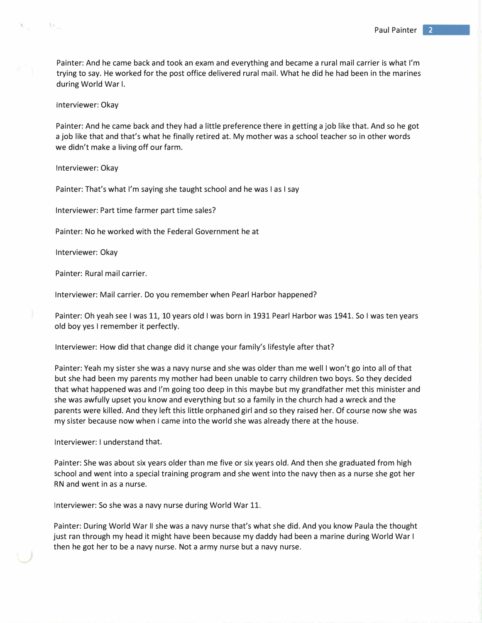Painter: And he came back and took an exam and everything and became a rural mail carrier is what I'm trying to say. He worked for the post office delivered rural mail. What he did he had been in the marines during World War I.

Interviewer: Okay

 $\mathcal{R}^{\text{L}}$  .

Painter: And he came back and they had a little preference there in getting a job like that. And so he got a job like that and that's what he finally retired at. My mother was a school teacher so in other words we didn't make a living off our farm.

Interviewer: Okay

Painter: That's what I'm saying she taught school and he was I as I say

Interviewer: Part time farmer part time sales?

Painter: No he worked with the Federal Government he at

Interviewer: Okay

Painter: Rural mail carrier.

Interviewer: Mail carrier. Do you remember when Pearl Harbor happened?

Painter: Oh yeah see I was 11, 10 years old I was born in 1931 Pearl Harbor was 1941. So I was ten years old boy yes I remember it perfectly.

Interviewer: How did that change did it change your family's lifestyle after that?

Painter: Yeah my sister she was a navy nurse and she was older than me well I won't go into all of that but she had been my parents my mother had been unable to carry children two boys. So they decided that what happened was and I'm going too deep in this maybe but my grandfather met this minister and she was awfully upset you know and everything but so a family in the church had a wreck and the parents were killed. And they left this little orphaned girl and so they raised her. Of c*o*ur*s*e n*ow s*he *w*a*s*  m*y s*i*s*te*r* becau*s*e n*ow w*hen I came int*o* the *wo*rld *s*he *w*a*s* alread*y* there at the h*o*u*s*e.

Inter*v*ie*w*er: *I* under*s*tand that.

Painter: She *w*a*s* ab*o*ut *s*i*x y*ear*s o*lder than me fi*v*e *o*r *s*i*x y*ear*s o*ld. And then *s*he *g*raduated fr*o*m hi*g*h *s*ch*oo*l and *w*ent int*o* a *s*pecial trainin*g* pr*ogr*am and *s*he *w*ent int*o* the na*vy* then a*s* a nur*s*e *s*he *go*t her RN and *w*ent in a*s* a nur*s*e.

Inter*v*ie*w*er: S*o s*he *w*a*s* a na*vy* nur*s*e durin*g* W*o*rld War 11.

Painter: Durin*g* W*o*rld Wa*r II s*he *w*a*s* a na*vy* nur*s*e that'*s w*hat *s*he did. And *yo*u kn*ow* Paula the th*o*u*g*ht ju*s*t ran thr*o*u*g*h m*y* head it mi*g*ht ha*v*e been becau*s*e m*y* dadd*y* had been a marine durin*g* W*o*rld War *I*  then he *go*t her t*o* be a na*vy* nur*s*e. N*o*t a arm*y* nur*s*e but a na*vy* nur*s*e.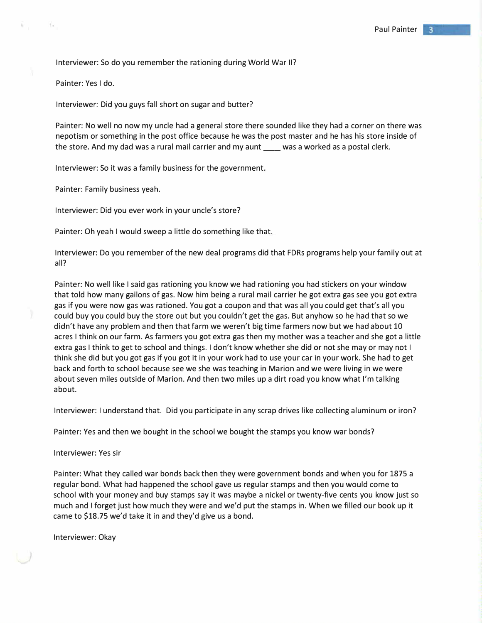Interviewer: So do you remember the rationing during World War II?

Painter: Yes I do.

 $\uparrow$  .

Interviewer: Did you guys fall short on sugar and butter?

Painter: No well no now my uncle had a general store there sounded like they had a corner on there was nepotism or something in the post office because he was the post master and he has his store inside of the store. And my dad was a rural mail carrier and my aunt \_\_\_\_ was a worked as a postal clerk.

Interviewer: So it was a family business for the government.

Painter: Family business yeah.

Interviewer: Did you ever work in your uncle's store?

Painter: Oh yeah I would sweep a little do something like that.

Interviewer: Do you remember of the new deal programs did that FDRs programs help your family out at all?

Painter: No well like I said gas rationing you know we had rationing you had stickers on your window that told how many gallons of gas. Now him being a rural mail carrier he got extra gas see you got extra gas if you were now gas was rationed. You got a coupon and that was all you could get that's all you could buy you could buy the store out but you couldn't get the gas. But anyhow so he had that so we didn't have any problem and then that farm we weren't big time farmers now but we had about 10 acres I think on our farm. As farmers you got extra gas then my mother was a teacher and she got a little extra gas I think to get to school and things. I don't know whether she did or not she may or may not I think she did but you got gas if you got it in your work had to use your car in your work. She had to get back and forth to school because see we she was teaching in Marion and we were living in we were about seven miles outside of Marion. And then two miles up a dirt road you know what I'm talking about.

Interviewer: I understand that. Did you participate in any scrap drives like collecting aluminum or iron?

Painter: Yes and then we bought in the school we bought the stamps you know war bonds?

Interviewer: Yes sir

Painter: What they called war bonds back then they were government bonds and when you for 1875 a regular bond. What had happened the school gave us regular stamps and then you would come to school with your money and buy stamps say it was maybe a nickel or twenty-five cents you know just so much and I forget just how much they were and we'd put the stamps in. When we filled our book up it came to \$18.75 we'd take it in and they'd give us a bond.

Interviewer: Okay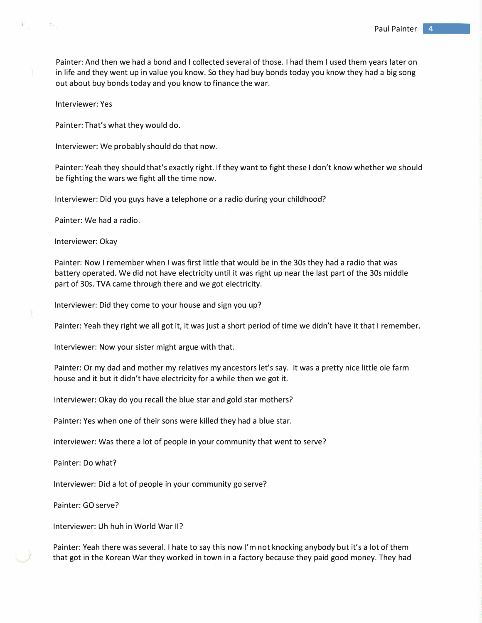Painter: And then we had a bond and I collected several of those. I had them I used them years later on in life and they went up in value you know. So they had buy bonds today you know they had a big song out about buy bonds today and you know to finance the war.

Interviewer: Yes

ੀ ਵ

Painter: That's what they would do.

Interviewer: We probably should do that now.

Painter: Yeah they should that's exactly right. If they want to fight these I don't know whether we should be fighting the wars we fight all the time now.

Interviewer: Did you guys have a telephone or a radio during your childhood?

Painter: We had a radio.

Interviewer: Okay

Painter: Now I remember when I was first little that would be in the 30s they had a radio that was battery operated. We did not have electricity until it was right up near the last part of the 30s middle part of 30s. TVA came through there and we got electricity.

Interviewer: Did they come to your house and sign you up?

Painter: Yeah they right we all got it, it was just a short period of time we didn't have it that I remember.

Interviewer: Now your sister might argue with that.

Painter: Or my dad and mother my relatives my ancestors let's say. It was a pretty nice little ole farm house and it but it didn't have electricity for a while then we got it.

Interviewer: Okay do you recall the blue star and gold star mothers?

Painter: Yes when one of their sons were killed they had a blue star.

Interviewer: Was there a lot of people in your community that went to serve?

Painter: Do what?

Interviewer: Did a lot of people in your community go serve?

Painter: GO serve?

Interviewer: Uh huh in World War II?

Painter: Yeah there was several. I hate to say this now I'm not knocking anybody but it's a lot of them that got in the Korean War they worked in town in a factory because they paid good money. They had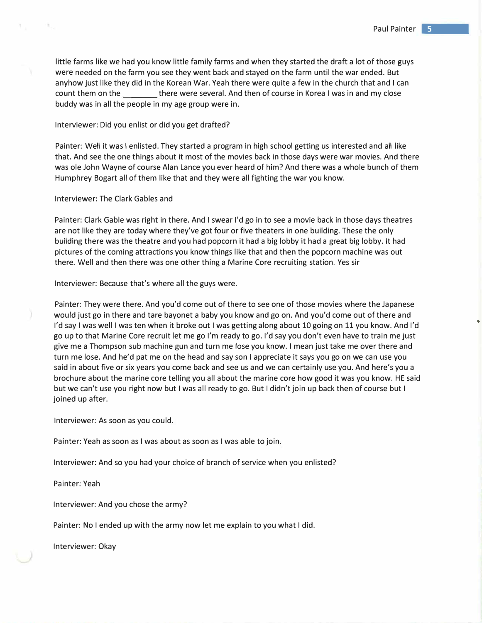•

little farms like we had you know little family farms and when they started the draft a lot of those guys were needed on the farm you see they went back and stayed on the farm until the war ended. But anyhow just like they did in the Korean War. Yeah there were quite a few in the church that and I can count them on the there were several. And then of course in Korea I was in and my close buddy was in all the people in my age group were in.

### Interviewer: Did you enlist or did you get drafted?

Painter: Well it was I enlisted. They started a program in high school getting us interested and all like that. And see the one things about it most of the movies back in those days were war movies. And there was ole John Wayne of course Alan Lance you ever heard of him? And there was a whole bunch of them Humphrey Bogart all of them like that and they were all fighting the war you know.

## Interviewer: The Clark Gables and

 $\mathcal{H}_{\alpha}$ 

Painter: Clark Gable was right in there. And I swear I'd go in to see a movie back in those days theatres are not like they are today where they've got four or five theaters in one building. These the only building there was the theatre and you had popcorn it had a big lobby it had a great big lobby. It had pictures of the coming attractions you know things like that and then the popcorn machine was out there. Well and then there was one other thing a Marine Core recruiting station. Yes sir

Interviewer: Because that's where all the guys were.

Painter: They were there. And you'd come out of there to see one of those movies where the Japanese would just go in there and tare bayonet a baby you know and go on. And you'd come out of there and I'd say I was well I was ten when it broke out I was getting along about 10 going on 11 you know. And I'd go up to that Marine Core recruit let me go I'm ready to go. I'd say you don't even have to train me just give me a Thompson sub machine gun and turn me lose you know. I mean just take me over there and turn me lose. And he'd pat me on the head and say son I appreciate it says you go on we can use you said in about five or six years you come back and see us and we can certainly use you. And here's you a brochure about the marine core telling you all about the marine core how good it was you know. HE said but we can't use you right now but I was all ready to go. But I didn't join up back then of course but I joined up after.

Interviewer: As soon as you could.

Painter: Yeah as soon as I was about as soon as I was able to join.

Interviewer: And so you had your choice of branch of service when you enlisted?

Painter: Yeah

Interviewer: And you chose the army?

Painter: No I ended up with the army now let me explain to you what I did.

Interviewer: Okay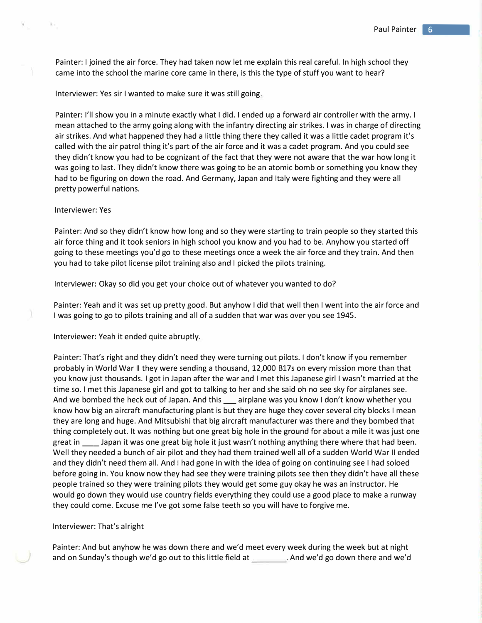Painter: I joined the air force. They had taken now let me explain this real careful. In high school they came into the school the marine core came in there, is this the type of stuff you want to hear?

Interviewer: Yes sir I wanted to make sure it was still going.

Painter: I'll show you in a minute exactly what I did. I ended up a forward air controller with the army. I mean attached to the army going along with the infantry directing air strikes. I was in charge of directing air strikes. And what happened they had a little thing there they called it was a little cadet program it's called with the air patrol thing it's part of the air force and it was a cadet program. And you could see they didn't know you had to be cognizant of the fact that they were not aware that the war how long it was going to last. They didn't know there was going to be an atomic bomb or something you know they had to be figuring on down the road. And Germany, Japan and Italy were fighting and they were all pretty powerful nations.

# Interviewer: Yes

Painter: And so they didn't know how long and so they were starting to train people so they started this air force thing and it took seniors in high school you know and you had to be. Anyhow you started off going to these meetings you'd go to these meetings once a week the air force and they train. And then you had to take pilot license pilot training also and I picked the pilots training.

Interviewer: Okay so did you get your choice out of whatever you wanted to do?

Painter: Yeah and it was set up pretty good. But anyhow I did that well then I went into the air force and I was going to go to pilots training and all of a sudden that war was over you see 1945.

Interviewer: Yeah it ended quite abruptly.

Painter: That's right and they didn't need they were turning out pilots. I don't know if you remember probably in World War II they were sending a thousand, 12,000 B17s on every mission more than that you know just thousands. I got in Japan after the war and I met this Japanese girl I wasn't married at the time so. I met this Japanese girl and got to talking to her and she said oh no see sky for airplanes see. And we bombed the heck out of Japan. And this eairplane was you know I don't know whether you know how big an aircraft manufacturing plant is but they are huge they cover several city blocks I mean they are long and huge. And Mitsubishi that big aircraft manufacturer was there and they bombed that thing completely out. It was nothing but one great big hole in the ground for about a mile it was just one great in stapan it was one great big hole it just wasn't nothing anything there where that had been. Well they needed a bunch of air pilot and they had them trained well all of a sudden World War II ended and they didn't need them all. And I had gone in with the idea of going on continuing see I had soloed before going in. You know now they had see they were training pilots see then they didn't have all these people trained so they were training pilots they would get some guy okay he was an instructor. He would go down they would use country fields everything they could use a good place to make a runway they could come. Excuse me I've got some false teeth so you will have to forgive me.

#### Interviewer: That's alright

Painter: And but anyhow he was down there and we'd meet every week during the week but at night and on Sunday's though we'd go out to this little field at . And we'd go down there and we'd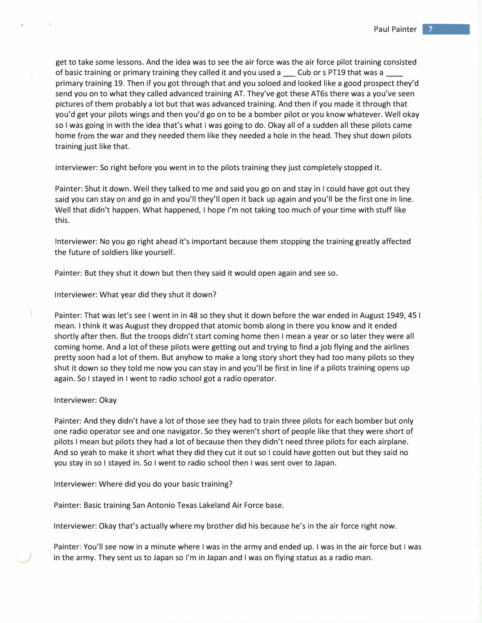get to take some lessons. And the idea was to see the air force was the air force pilot training consisted of basic training or primary training they called it and you used a \_\_\_\_ Cub or s PT19 that was a \_ primary training 19. Then if you got through that and you soloed and looked like a good prospect they'd send you on to what they called advanced training AT. They've got these AT6s there was a you've seen pictures of them probably a lot but that was advanced training. And then if you made it through that you'd get your pilots wings and then you'd go on to be a bomber pilot or you know whatever. Well okay so I was going in with the idea that's what I was going to do. Okay all of a sudden all these pilots came home from the war and they needed them like they needed a hole in the head. They shut down pilots training just like that.

Interviewer: So right before you went in to the pilots training they just completely stopped it.

Painter: Shut it down. Well they talked to me and said you go on and stay in I could have got out they said you can stay on and go in and you'll they'll open it back up again and you'll be the first one in line. Well that didn't happen. What happened, I hope I'm not taking too much of your time with stuff like this.

Interviewer: No you go right ahead it's important because them stopping the training greatly affected the future of soldiers like yourself.

Painter: But they shut it down but then they said it would open again and see so.

Interviewer: What year did they shut it down?

Painter: That was let's see I went in in 48 so they shut it down before the war ended in August 1949, 45 I mean. I think it was August they dropped that atomic bomb along in there you know and it ended shortly after then. But the troops didn't start coming home then I mean a year or so later they were all coming home. And a lot of these pilots were getting out and trying to find a job flying and the airlines pretty soon had a lot of them. But anyhow to make a long story short they had too many pilots so they shut it down so they told me now you can stay in and you'll be first in line if a pilots training opens up again. So I stayed in I went to radio school got a radio operator.

#### Interviewer: Okay

Painter: And they didn't have a lot of those see they had to train three pilots for each bomber but only one radio operator see and one navigator. So they weren't short of people like that they were short of pilots I mean but pilots they had a lot of because then they didn't need three pilots for each airplane. And so yeah to make it short what they did they cut it out so I could have gotten out but they said no you stay in so I stayed in. So I went to radio school then I was sent over to Japan.

Interviewer: Where did you do your basic training?

Painter: Basic training San Antonio Texas Lakeland Air Force base.

Interviewer: Okay that's actually where my brother did his because he's in the air force right now.

Painter: You'll see now in a minute where I was in the army and ended up. I was in the air force but I was in the army. They sent us to Japan so I'm in Japan and I was on flying status as a radio man.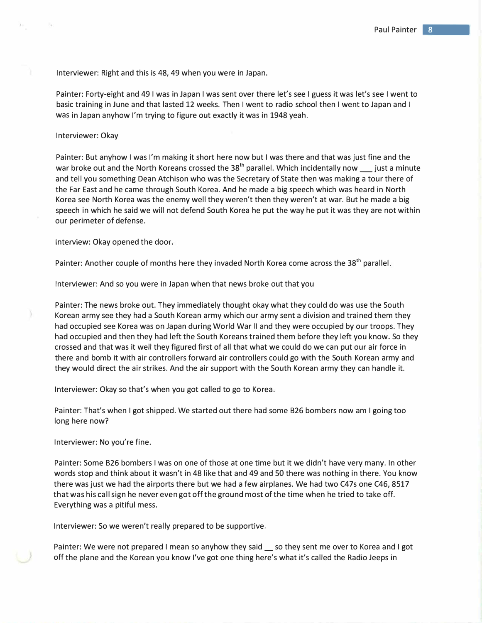Interviewer: Right and this is 48, 49 when you were in Japan.

Painter: Forty-eight and 49 I was in Japan I was sent over there let's see I guess it was let's see I went to basic training in June and that lasted 12 weeks. Then I went to radio school then I went to Japan and I was in Japan anyhow I'm trying to figure out exactly it was in 1948 yeah.

### Interviewer: Okay

Painter: But anyhow I was I'm making it short here now but I was there and that was just fine and the war broke out and the North Koreans crossed the  $38<sup>th</sup>$  parallel. Which incidentally now just a minute and tell you something Dean Atchison who was the Secretary of State then was making a tour there of the Far East and he came through South Korea. And he made a big speech which was heard in North Korea see North Korea was the enemy well they weren't then they weren't at war. But he made a big speech in which he said we will not defend South Korea he put the way he put it was they are not within our perimeter of defense.

Interview: Okay opened the door.

Painter: Another couple of months here they invaded North Korea come across the  $38<sup>th</sup>$  parallel.

Interviewer: And so you were in Japan when that news broke out that you

Painter: The news broke out. They immediately thought okay what they could do was use the South Korean army see they had a South Korean army which our army sent a division and trained them they had occupied see Korea was on Japan during World War II and they were occupied by our troops. They had occupied and then they had left the South Koreans trained them before they left you know. So they crossed and that was it well they figured first of all that what we could do we can put our air force in there and bomb it with air controllers forward air controllers could go with the South Korean army and they would direct the air strikes. And the air support with the South Korean army they can handle it.

Interviewer: Okay so that's when you got called to go to Korea.

Painter: That's when I got shipped. We started out there had some 826 bombers now am I going too long here now?

Interviewer: No you're fine.

Painter: Some 826 bombers I was on one of those at one time but it we didn't have very many. In other words stop and think about it wasn't in 48 like that and 49 and SO there was nothing in there. You know there was just we had the airports there but we had a few airplanes. We had two C47s one C46, 8517 that was his call sign he never even got off the ground most of the time when he tried to take off. Everything was a pitiful mess.

Interviewer: So we weren't really prepared to be supportive.

Painter: We were not prepared I mean so anyhow they said \_ so they sent me over to Korea and I got off the plane and the Korean you know I've got one thing here's what it's called the Radio Jeeps in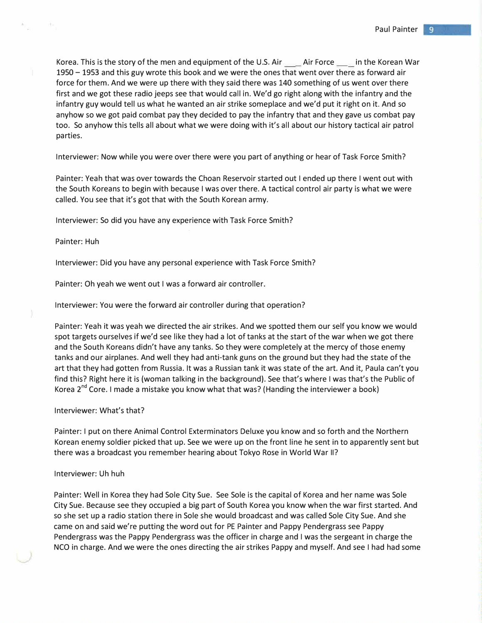Korea. This is the story of the men and equipment of the U.S. Air \_\_\_\_\_ Air Force \_\_\_\_\_ in the Korean War 1950 - 1953 and this guy wrote this book and we were the ones that went over there as forward air force for them. And we were up there with they said there was 140 something of us went over there first and we got these radio jeeps see that would call in. We'd go right along with the infantry and the infantry guy would tell us what he wanted an air strike someplace and we'd put it right on it. And so anyhow so we got paid combat pay they decided to pay the infantry that and they gave us combat pay too. So anyhow this tells all about what we were doing with it's all about our history tactical air patrol parties.

Interviewer: Now while you were over there were you part of anything or hear of Task Force Smith?

Painter: Yeah that was over towards the Choan Reservoir started out I ended up there I went out with the South Koreans to begin with because I was over there. A tactical control air party is what we were called. You see that it's got that with the South Korean army.

Interviewer: So did you have any experience with Task Force Smith?

## Painter: Huh

Interviewer: Did you have any personal experience with Task Force Smith?

Painter: Oh yeah we went out I was a forward air controller.

Interviewer: You were the forward air controller during that operation?

Painter: Yeah it was yeah we directed the air strikes. And we spotted them our self you know we would spot targets ourselves if we'd see like they had a lot of tanks at the start of the war when we got there and the South Koreans didn't have any tanks. So they were completely at the mercy of those enemy tanks and our airplanes. And well they had anti-tank guns on the ground but they had the state of the art that they had gotten from Russia. It was a Russian tank it was state of the art. And it, Paula can't you find this? Right here it is (woman talking in the background). See that's where I was that's the Public of Korea 2<sup>nd</sup> Core. I made a mistake you know what that was? (Handing the interviewer a book)

### Interviewer: What's that?

Painter: I put on there Animal Control Exterminators Deluxe you know and so forth and the Northern Korean enemy soldier picked that up. See we were up on the front line he sent in to apparently sent but there was a broadcast you remember hearing about Tokyo Rose in World War II?

# Interviewer: Uh huh

Painter: Well in Korea they had Sole City Sue. See Sole is the capital of Korea and her name was Sole City Sue. Because see they occupied a big part of South Korea you know when the war first started. And so she set up a radio station there in Sole she would broadcast and was called Sole City Sue. And she came on and said we're putting the word out for PE Painter and Pappy Pendergrass see Pappy Pendergrass was the Pappy Pendergrass was the officer in charge and I was the sergeant in charge the NCO in charge. And we were the ones directing the air strikes Pappy and myself. And see I had had some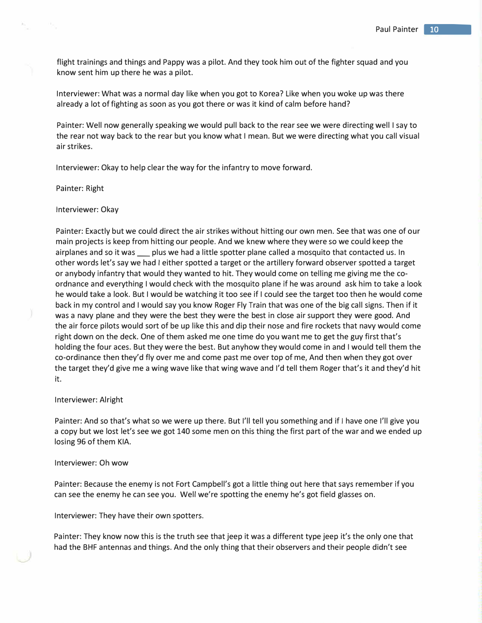flight trainings and things and Pappy was a pilot. And they took him out of the fighter squad and you know sent him up there he was a pilot.

Interviewer: What was a normal day like when you got to Korea? Like when you woke up was there already a lot of fighting as soon as you got there or was it kind of calm before hand?

Painter: Well now generally speaking we would pull back to the rear see we were directing well I say to the rear not way back to the rear but you know what I mean. But we were directing what you call visual air strikes.

Interviewer: Okay to help clear the way for the infantry to move forward.

Painter: Right

Interviewer: Okay

Painter: Exactly but we could direct the air strikes without hitting our own men. See that was one of our main projects is keep from hitting our people. And we knew where they were so we could keep the airplanes and so it was \_\_\_ plus we had a little spotter plane called a mosquito that contacted us. In other words let's say we had I either spotted a target or the artillery forward observer spotted a target or anybody infantry that would they wanted to hit. They would come on telling me giving me the coordnance and everything I would check with the mosquito plane if he was around ask him to take a look he would take a look. But I would be watching it too see if I could see the target too then he would come back in my control and I would say you know Roger Fly Train that was one of the big call signs. Then if it was a navy plane and they were the best they were the best in close air support they were good. And the air force pilots would sort of be up like this and dip their nose and fire rockets that navy would come right down on the deck. One of them asked me one time do you want me to get the guy first that's holding the four aces. But they were the best. But anyhow they would come in and I would tell them the co-ordinance then they'd fly over me and come past me over top of me, And then when they got over the target they'd give me a wing wave like that wing wave and I'd tell them Roger that's it and they'd hit it.

#### Interviewer: Alright

Painter: And so that's what so we were up there. But I'll tell you something and if I have one I'll give you a copy but we lost let's see we got 140 some men on this thing the first part of the war and we ended up losing 96 of them KIA.

## Interviewer: Oh wow

Painter: Because the enemy is not Fort Campbell's got a little thing out here that says remember if you can see the enemy he can see you. Well we're spotting the enemy he's got field glasses on.

Interviewer: They have their own spotters.

Painter: They know now this is the truth see that jeep it was a different type jeep it's the only one that had the BHF antennas and things. And the only thing that their observers and their people didn't see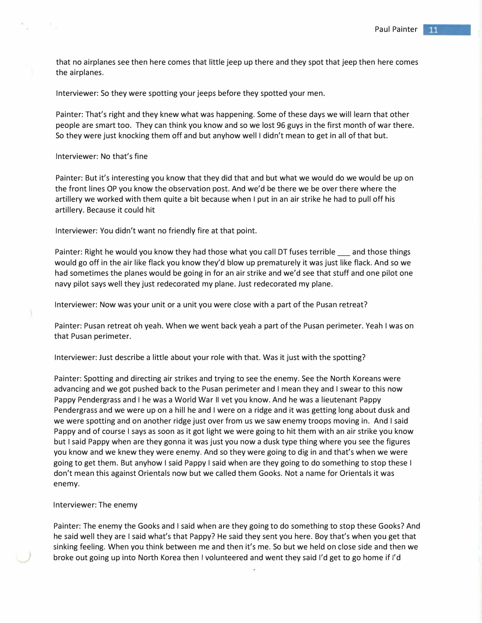that no airplanes see then here comes that little jeep up there and they spot that jeep then here comes the airplanes.

Interviewer: So they were spotting your jeeps before they spotted your men.

Painter: That's right and they knew what was happening. Some of these days we will learn that other people are smart too. They can think you know and so we lost 96 guys in the first month of war there. So they were just knocking them off and but anyhow well I didn't mean to get in all of that but.

## Interviewer: No that's fine

Painter: But it's interesting you know that they did that and but what we would do we would be up on the front lines OP you know the observation post. And we'd be there we be over there where the artillery we worked with them quite a bit because when I put in an air strike he had to pull off his artillery. Because it could hit

Interviewer: You didn't want no friendly fire at that point.

Painter: Right he would you know they had those what you call DT fuses terrible and those things would go off in the air like flack you know they'd blow up prematurely it was just like flack. And so we had sometimes the planes would be going in for an air strike and we'd see that stuff and one pilot one navy pilot says well they just redecorated my plane. Just redecorated my plane.

Interviewer: Now was your unit or a unit you were close with a part of the Pusan retreat?

Painter: Pusan retreat oh yeah. When we went back yeah a part of the Pusan perimeter. Yeah I was on that Pusan perimeter.

Interviewer: Just describe a little about your role with that. Was it just with the spotting?

Painter: Spotting and directing air strikes and trying to see the enemy. See the North Koreans were advancing and we got pushed back to the Pusan perimeter and I mean they and I swear to this now Pappy Pendergrass and I he was a World War II vet you know. And he was a lieutenant Pappy Pendergrass and we were up on a hill he and I were on a ridge and it was getting long about dusk and we were spotting and on another ridge just over from us we saw enemy troops moving in. And I said Pappy and of course I says as soon as it got light we were going to hit them with an air strike you know but I said Pappy when are they gonna it was just you now a dusk type thing where you see the figures you know and we knew they were enemy. And so they were going to dig in and that's when we were going to get them. But anyhow I said Pappy I said when are they going to do something to stop these I don't mean this against Orientals now but we called them Gooks. Not a name for Orientals it was enemy.

# Interviewer: The enemy

Painter: The enemy the Gooks and I said when are they going to do something to stop these Gooks? And he said well they are I said what's that Pappy? He said they sent you here. Boy that's when you get that sinking feeling. When you think between me and then it's me. So but we held on close side and then we broke out going up into North Korea then I volunteered and went they said I'd get to go home if I'd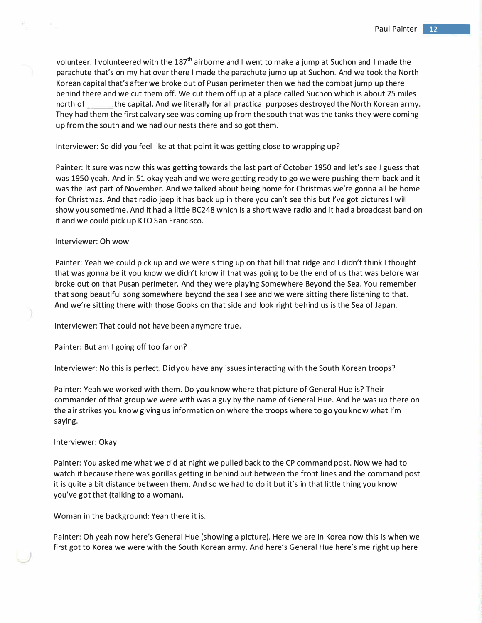volunteer. I volunteered with the  $187<sup>th</sup>$  airborne and I went to make a jump at Suchon and I made the parachute that's on my hat over there I made the parachute jump up at Suchon. And we took the North Korean capital that's after we broke out of Pusan perimeter then we had the combat jump up there behind there and we cut them off. We cut them off up at a place called Suchan which is about 25 miles north of the capital. And we literally for all practical purposes destroyed the North Korean army. They had them the first calvary see was coming up from the south that was the tanks they were coming up from the south and we had our nests there and so got them.

# Interviewer: So did you feel like at that point it was getting close to wrapping up?

Painter: It sure was now this was getting towards the last part of October 1950 and let's see I guess that was 1950 yeah. And in 51 okay yeah and we were getting ready to go we were pushing them back and it was the last part of November. And we talked about being home for Christmas we're gonna all be home for Christmas. And that radio jeep it has back up in there you can't see this but I've got pictures I will show you sometime. And it had a little BC248 which is a short wave radio and it had a broadcast band on it and we could pick up KTO San Francisco.

## Interviewer: Oh wow

Painter: Yeah we could pick up and we were sitting up on that hill that ridge and I didn't think I thought that was gonna be it you know we didn't know if that was going to be the end of us that was before war broke out on that Pusan perimeter. And they were playing Somewhere Beyond the Sea. You remember that song beautiful song somewhere beyond the sea I see and we were sitting there listening to that. And we're sitting there with those Gooks on that side and look right behind us is the Sea of Japan.

Interviewer: That could not have been anymore true.

Painter: But am I going off too far on?

Interviewer: No this is perfect. Did you have any issues interacting with the South Korean troops?

Painter: Yeah we worked with them. Do you know where that picture of General Hue is? Their commander of that group we were with was a guy by the name of General Hue. And he was up there on the air strikes you know giving us information on where the troops where to go you know what I'm saying.

#### Interviewer: Okay

Painter: You asked me what we did at night we pulled back to the CP command post. Now we had to watch it because there was gorillas getting in behind but between the front lines and the command post it is quite a bit distance between them. And so we had to do it but it's in that little thing you know you've got that (talking to a woman).

Woman in the background: Yeah there it is.

Painter: Oh yeah now here's General Hue (showing a picture). Here we are in Korea now this is when we first got to Korea we were with the South Korean army. And here's General Hue here's me right up here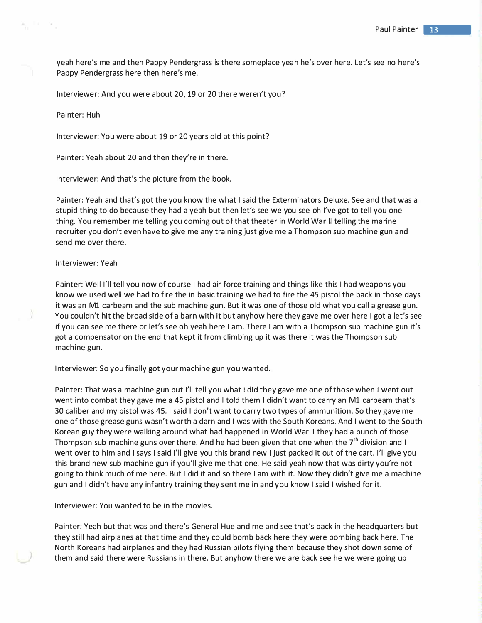yeah here's me and then Pappy Pendergrass is there someplace yeah he's over here. Let's see no here's Pappy Pendergrass here then here's me.

Interviewer: And you were about 20, 19 or 20 there weren't you?

Painter: Huh

Interviewer: You were about 19 or 20 years old at this point?

Painter: Yeah about 20 and then they're in there.

Interviewer: And that's the picture from the book.

Painter: Yeah and that's got the you know the what I said the Exterminators Deluxe. See and that was a stupid thing to do because they had a yeah but then let's see we you see oh I've got to tell you one thing. You remember me telling you coming out of that theater in World War II telling the marine recruiter you don't even have to give me any training just give me a Thompson sub machine gun and send me over there.

## Interviewer: Yeah

Painter: Well I'll tell you now of course I had air force training and things like this I had weapons you know we used well we had to fire the in basic training we had to fire the 45 pistol the back in those days it was an Ml carbeam and the sub machine gun. But it was one of those old what you call a grease gun. You couldn't hit the broad side of a barn with it but anyhow here they gave me over here I got a let's see if you can see me there or let's see oh yeah here I am. There I am with a Thompson sub machine gun it's got a compensator on the end that kept it from climbing up it was there it was the Thompson sub machine gun.

Interviewer: So you finally got your machine gun you wanted.

Painter: That was a machine gun but I'll tell you what I did they gave me one of those when I went out went into combat they gave me a 45 pistol and I told them I didn't want to carry an M1 carbeam that's 30 caliber and my pistol was 45. I said I don't want to carry two types of ammunition. So they gave me one of those grease guns wasn't worth a darn and I was with the South Koreans. And I went to the South Korean guy they were walking around what had happened in World War II they had a bunch of those Thompson sub machine guns over there. And he had been given that one when the  $7<sup>th</sup>$  division and I went over to him and I says I said I'll give you this brand new I just packed it out of the cart. I'll give you this brand new sub machine gun if you'll give me that one. He said yeah now that was dirty you're not going to think much of me here. But I did it and so there I am with it. Now they didn't give me a machine gun and I didn't have any infantry training they sent me in and you know I said I wished for it.

Interviewer: You wanted to be in the movies.

Painter: Yeah but that was and there's General Hue and me and see that's back in the headquarters but they still had airplanes at that time and they could bomb back here they were bombing back here. The North Koreans had airplanes and they had Russian pilots flying them because they shot down some of them and said there were Russians in there. But anyhow there we are back see he we were going up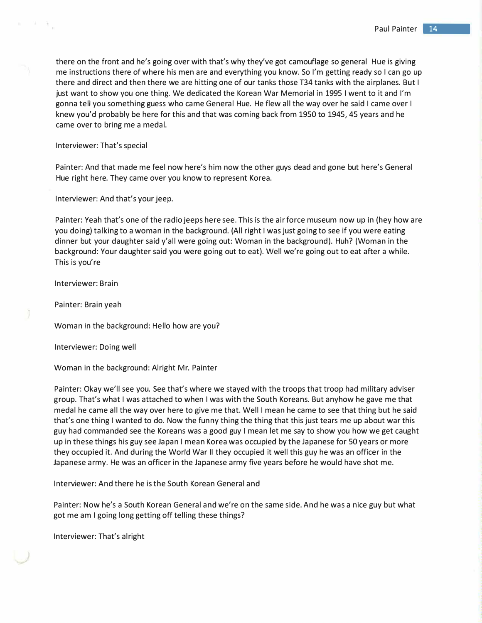there on the front and he's going over with that's why they've got camouflage so general Hue is giving me instructions there of where his men are and everything you know. So I'm getting ready so I can go up there and direct and then there we are hitting one of our tanks those T34 tanks with the airplanes. But I just want to show you one thing. We dedicated the Korean War Memorial in 1995 I went to it and I'm gonna tell you something guess who came General Hue. He flew all the way over he said I came over I knew you'd probably be here for this and that was coming back from 1950 to 1945, 45 years and he came over to bring me a medal.

Interviewer: That's special

 $\tau$  .  $\tau$  ,

Painter: And that made me feel now here's him now the other guys dead and gone but here's General Hue right here. They came over you know to represent Korea.

Interviewer: And that's your jeep.

Painter: Yeah that's one of the radio jeeps here see. This is the air force museum now up in (hey how are you doing) talking to a woman in the background. (All right I was just going to see if you were eating dinner but your daughter said y'all were going out: Woman in the background). Huh? (Woman in the background: Your daughter said you were going out to eat). Well we're going out to eat after a while. This is you're

Interviewer: Brain

Painter: Brain yeah

Woman in the background: Hello how are you?

Interviewer: Doing well

Woman in the background: Alright Mr. Painter

Painter: Okay we'll see you. See that's where we stayed with the troops that troop had military adviser group. That's what I was attached to when I was with the South Koreans. But anyhow he gave me that medal he came all the way over here to give me that. Well I mean he came to see that thing but he said that's one thing I wanted to do. Now the funny thing the thing that this just tears me up about war this guy had commanded see the Koreans was a good guy I mean let me say to show you how we get caught up in these things his guy see Japan I mean Korea was occupied by the Japanese for 50 years or more they occupied it. And during the World War II they occupied it well this guy he was an officer in the Japanese army. He was an officer in the Japanese army five years before he would have shot me.

Interviewer: And there he is the South Korean General and

Painter: Now he's a South Korean General and we're on the same side. And he was a nice guy but what got me am I going long getting off telling these things?

Interviewer: That's alright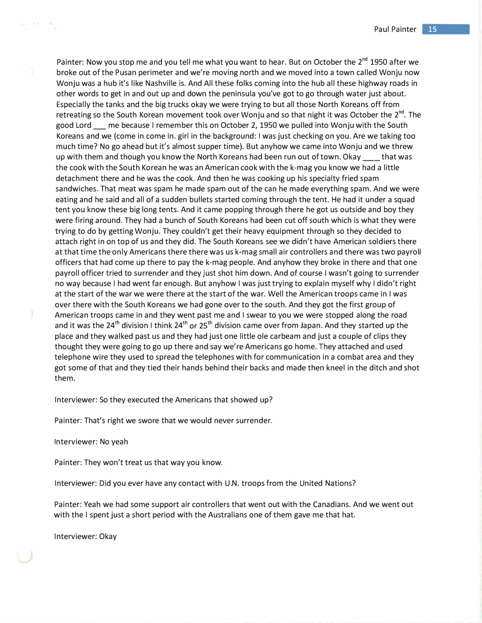Painter: Now you stop me and you tell me what you want to hear. But on October the 2<sup>nd</sup> 1950 after we broke out of the Pusan perimeter and we're moving north and we moved into a town called Wonju now Wonju was a hub it's like Nashville is. And All these folks coming into the hub all these highway roads in other words to get in and out up and down the peninsula you've got to go through water just about. Especially the tanks and the big trucks okay we were trying to but all those North Koreans off from retreating so the South Korean movement took over Wonju and so that night it was October the 2<sup>nd</sup>. The good Lord  $\quad$  me because I remember this on October 2, 1950 we pulled into Wonju with the South Koreans and we (come in come in. girl in the background: I was just checking on you. Are we taking too much time? No go ahead but it's almost supper time). But anyhow we came into Wonju and we threw up with them and though you know the North Koreans had been run out of town. Okay \_\_\_\_ that was the cook with the South Korean he was an American cook with the k-mag you know we had a little detachment there and he was the cook. And then he was cooking up his specialty fried spam sandwiches. That meat was spam he made spam out of the can he made everything spam. And we were eating and he said and all of a sudden bullets started coming through the tent. He had it under a squad tent you know these big long tents. And it came popping through there he got us outside and boy they were firing around. They had a bunch of South Koreans had been cut off south which is what they were trying to do by getting Wonju. They couldn't get their heavy equipment through so they decided to attach right in on top of us and they did. The South Koreans see we didn't have American soldiers there at that time the only Americans there there was us k-mag small air controllers and there was two payroll officers that had come up there to pay the k-mag people. And anyhow they broke in there and that one payroll officer tried to surrender and they just shot him down. And of course I wasn't going to surrender no way because I had went far enough. But anyhow I was just trying to explain myself why I didn't right at the start of the war we were there at the start of the war. Well the American troops came in I was over there with the South Koreans we had gone over to the south. And they got the first group of American troops came in and they went past me and I swear to you we were stopped along the road and it was the 24<sup>th</sup> division I think 24<sup>th</sup> or 25<sup>th</sup> division came over from Japan. And they started up the place and they walked past us and they had just one little ole carbeam and just a couple of clips they thought they were going to go up there and say we're Americans go home. They attached and used telephone wire they used to spread the telephones with for communication in a combat area and they got some of that and they tied their hands behind their backs and made then kneel in the ditch and shot them.

Interviewer: So they executed the Americans that showed up?

Painter: That's right we swore that we would never surrender.

Interviewer: No yeah

Painter: They won't treat us that way you know.

Interviewer: Did you ever have any contact with U.N. troops from the United Nations?

Painter: Yeah we had some support air controllers that went out with the Canadians. And we went out with the I spent just a short period with the Australians one of them gave me that hat.

Interviewer: Okay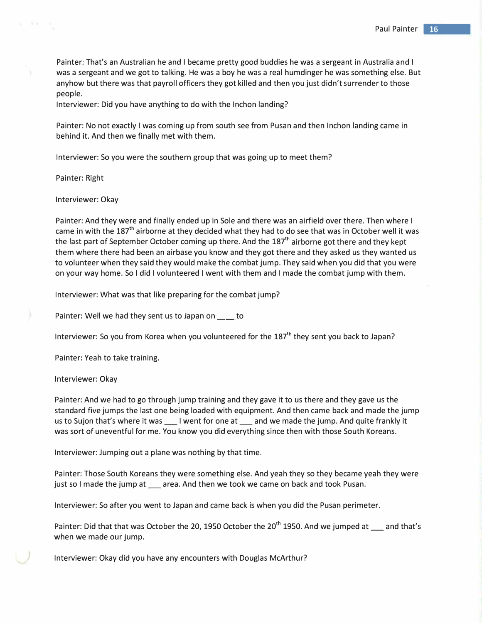Painter: That's an Australian he and I became pretty good buddies he was a sergeant in Australia and I was a sergeant and we got to talking. He was a boy he was a real humdinger he was something else. But anyhow but there was that payroll officers they got killed and then you just didn't surrender to those people.

Interviewer: Did you have anything to do with the Inchon landing?

Painter: No not exactly I was coming up from south see from Pusan and then Inchon landing came in behind it. And then we finally met with them.

Interviewer: So you were the southern group that was going up to meet them?

Painter: Right

#### Interviewer: Okay

Painter: And they were and finally ended up in Sole and there was an airfield over there. Then where I came in with the 187<sup>th</sup> airborne at they decided what they had to do see that was in October well it was the last part of September October coming up there. And the 187<sup>th</sup> airborne got there and they kept them where there had been an airbase you know and they got there and they asked us they wanted us to volunteer when they said they would make the combat jump. They said when you did that you were on your way home. So I did I volunteered I went with them and I made the combat jump with them.

Interviewer: What was that like preparing for the combat jump?

Painter: Well we had they sent us to Japan on \_\_ to

Interviewer: So you from Korea when you volunteered for the 187<sup>th</sup> they sent you back to Japan?

Painter: Yeah to take training.

Interviewer: Okay

Painter: And we had to go through jump training and they gave it to us there and they gave us the standard five jumps the last one being loaded with equipment. And then came back and made the jump us to Sujon that's where it was \_\_\_\_ I went for one at \_\_\_\_ and we made the jump. And quite frankly it was sort of uneventful for me. You know you did everything since then with those South Koreans.

Interviewer: Jumping out a plane was nothing by that time.

Painter: Those South Koreans they were something else. And yeah they so they became yeah they were just so I made the jump at \_\_\_ area. And then we took we came on back and took Pusan.

Interviewer: So after you went to Japan and came back is when you did the Pusan perimeter.

Painter: Did that that was October the 20, 1950 October the 20<sup>th</sup> 1950. And we jumped at  $\Box$  and that's when we made our jump.

*)* Interviewer: Okay did you have any encounters with Douglas McArthur?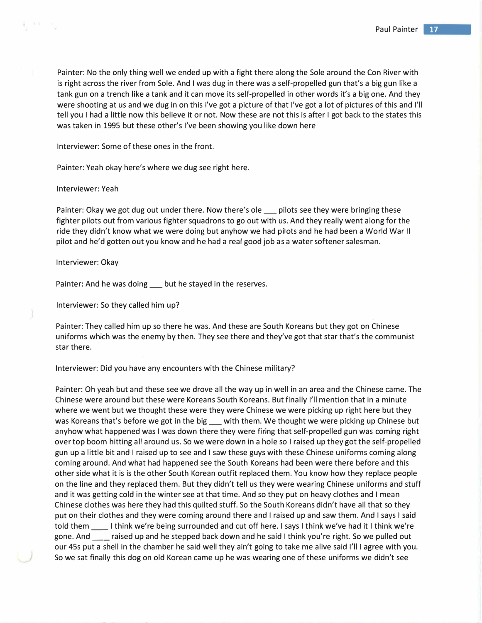Painter: No the only thing well we ended up with a fight there along the Sole around the Con River with is right across the river from Sole. And I was dug in there was a self-propelled gun that's a big gun like a tank gun on a trench like a tank and it can move its self-propelled in other words it's a big one. And they were shooting at us and we dug in on this I've got a picture of that I've got a lot of pictures of this and I'll tell you I had a little now this believe it or not. Now these are not this is after I got back to the states this was taken in 1995 but these other's I've been showing you like down here

Interviewer: Some of these ones in the front.

Painter: Yeah okay here's where we dug see right here.

#### Interviewer: Yeah

Painter: Okay we got dug out under there. Now there's ole pilots see they were bringing these fighter pilots out from various fighter squadrons to go out with us. And they really went along for the ride they didn't know what we were doing but anyhow we had pilots and he had been a World War II pilot and he'd gotten out you know and he had a real good job as a water softener salesman.

#### Interviewer: Okay

Painter: And he was doing but he stayed in the reserves.

Interviewer: So they called him up?

Painter: They called him up so there he was. And these are South Koreans but they got on Chinese uniforms which was the enemy by then. They see there and they've got that star that's the communist star there.

Interviewer: Did you have any encounters with the Chinese military?

Painter: Oh yeah but and these see we drove all the way up in well in an area and the Chinese came. The Chinese were around but these were Koreans South Koreans. But finally I'll mention that in a minute where we went but we thought these were they were Chinese we were picking up right here but they was Koreans that's before we got in the big with them. We thought we were picking up Chinese but anyhow what happened was I was down there they were firing that self-propelled gun was coming right over top boom hitting all around us. So we were down in a hole so I raised up they got the self-propelled gun up a little bit and I raised up to see and I saw these guys with these Chinese uniforms coming along coming around. And what had happened see the South Koreans had been were there before and this other side what it is is the other South Korean outfit replaced them. You know how they replace people on the line and they replaced them. But they didn't tell us they were wearing Chinese uniforms and stuff and it was getting cold in the winter see at that time. And so they put on heavy clothes and I mean Chinese clothes was here they had this quilted stuff. So the South Koreans didn't have all that so they put on their clothes and they were coming around there and I raised up and saw them. And I says I said told them \_\_\_\_\_\_I think we're being surrounded and cut off here. I says I think we've had it I think we're gone. And \_\_ raised up and he stepped back down and he said I think you're right. So we pulled out our 45s put a shell in the chamber he said well they ain't going to take me alive said I'll I agree with you. So we sat finally this dog on old Korean came up he was wearing one of these uniforms we didn't see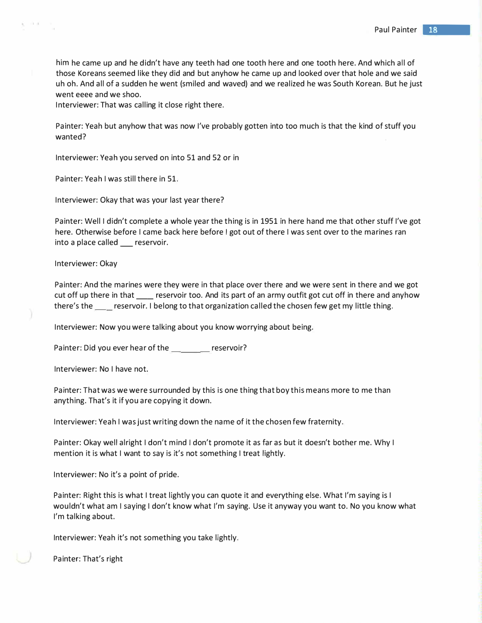him he came up and he didn't have any teeth had one tooth here and one tooth here. And which all of those Koreans seemed like they did and but anyhow he came up and looked over that hole and we said uh oh. And all of a sudden he went (smiled and waved) and we realized he was South Korean. But he just went eeee and we shoo.

Interviewer: That was calling it close right there.

Painter: Yeah but anyhow that was now I've probably gotten into too much is that the kind of stuff you wanted?

Interviewer: Yeah you served on into 51 and 52 or in

Painter: Yeah I was still there in 51.

Interviewer: Okay that was your last year there?

Painter: Well I didn't complete a whole year the thing is in 1951 in here hand me that other stuff I've got here. Otherwise before I came back here before I got out of there I was sent over to the marines ran into a place called \_\_ reservoir.

Interviewer: Okay

n a

Painter: And the marines were they were in that place over there and we were sent in there and we got cut off up there in that reservoir too. And its part of an army outfit got cut off in there and anyhow there's the \_\_ reservoir. I belong to that organization called the chosen few get my little thing.

Interviewer: Now you were talking about you know worrying about being.

Painter: Did you ever hear of the \_\_\_\_\_\_\_\_ reservoir?

Interviewer: No I have not.

Painter: That was we were surrounded by this is one thing that boy this means more to me than anything. That's it if you are copying it down.

Interviewer: Yeah I was just writing down the name of it the chosen few fraternity.

Painter: Okay well alright I don't mind I don't promote it as far as but it doesn't bother me. Why I mention it is what I want to say is it's not something I treat lightly.

Interviewer: No it's a point of pride.

Painter: Right this is what I treat lightly you can quote it and everything else. What I'm saying is I wouldn't what am I saying I don't know what I'm saying. Use it anyway you want to. No you know what I'm talking about.

Interviewer: Yeah it's not something you take lightly.

Painter: That's right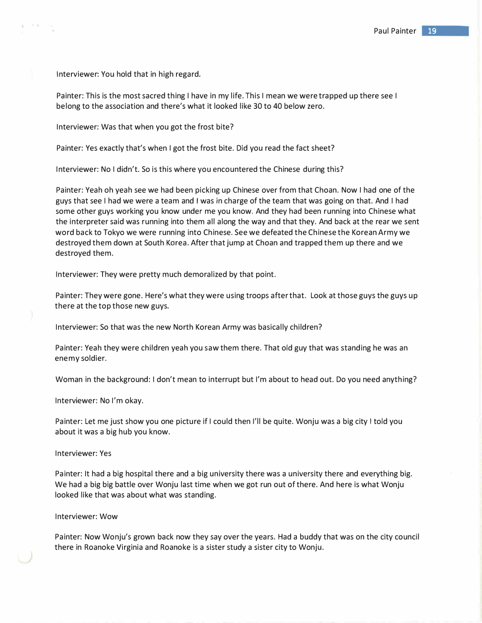Interviewer: You hold that in high regard.

101.04

Painter: This is the most sacred thing I have in my life. This I mean we were trapped up there see I belong to the association and there's what it looked like 30 to 40 below zero.

Interviewer: Was that when you got the frost bite?

Painter: Yes exactly that's when I got the frost bite. Did you read the fact sheet?

Interviewer: No I didn't. So is this where you encountered the Chinese during this?

Painter: Yeah oh yeah see we had been picking up Chinese over from that Choan. Now I had one of the guys that see I had we were a team and I was in charge of the team that was going on that. And I had some other guys working you know under me you know. And they had been running into Chinese what the interpreter said was running into them all along the way and that they. And back at the rear we sent word back to Tokyo we were running into Chinese. See we defeated the Chinese the Korean Army we destroyed them down at South Korea. After that jump at Choan and trapped them up there and we destroyed them.

Interviewer: They were pretty much demoralized by that point.

Painter: They were gone. Here's what they were using troops after that. Look at those guys the guys up there at the top those new guys.

Interviewer: So that was the new North Korean Army was basically children?

Painter: Yeah they were children yeah you saw them there. That old guy that was standing he was an enemy soldier.

Woman in the background: I don't mean to interrupt but I'm about to head out. Do you need anything?

Interviewer: No I'm okay.

Painter: Let me just show you one picture if I could then I'll be quite. Wonju was a big city I told you about it was a big hub you know.

Interviewer: Yes

Painter: It had a big hospital there and a big university there was a university there and everything big. We had a big big battle over Wonju last time when we got run out of there. And here is what Wonju looked like that was about what was standing.

# Interviewer: Wow

Painter: Now Wonju's grown back now they say over the years. Had a buddy that was on the city council there in Roanoke Virginia and Roanoke is a sister study a sister city to Wonju.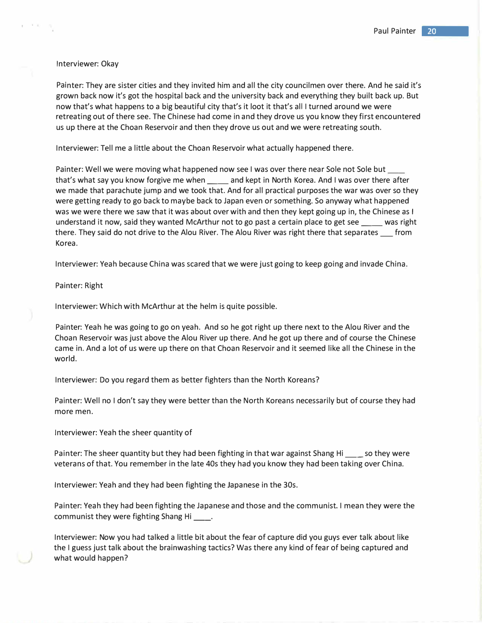# Interviewer: Okay

I '

Painter: They are sister cities and they invited him and all the city councilmen over there. And he said it's grown back now it's got the hospital back and the university back and everything they built back up. But now that's what happens to a big beautiful city that's it loot it that's all I turned around we were retreating out of there see. The Chinese had come in and they drove us you know they first encountered us up there at the Choan Reservoir and then they drove us out and we were retreating south.

Interviewer: Tell me a little about the Choan Reservoir what actually happened there.

Painter: Well we were moving what happened now see I was over there near Sole not Sole but that's what say you know forgive me when \_\_\_\_ and kept in North Korea. And I was over there after we made that parachute jump and we took that. And for all practical purposes the war was over so they were getting ready to go back to maybe back to Japan even or something. So anyway what happened was we were there we saw that it was about over with and then they kept going up in, the Chinese as I understand it now, said they wanted McArthur not to go past a certain place to get see \_\_\_\_ was right there. They said do not drive to the Alou River. The Alou River was right there that separates \_\_\_ from Korea.

Interviewer: Yeah because China was scared that we were just going to keep going and invade China.

# Painter: Right

Interviewer: Which with McArthur at the helm is quite possible.

Painter: Yeah he was going to go on yeah. And so he got right up there next to the Alou River and the Choan Reservoir was just above the Alou River up there. And he got up there and of course the Chinese came in. And a lot of us were up there on that Choan Reservoir and it seemed like all the Chinese in the world.

Interviewer: Do you regard them as better fighters than the North Koreans?

Painter: Well no I don't say they were better than the North Koreans necessarily but of course they had more men.

Interviewer: Yeah the sheer quantity of

Painter: The sheer quantity but they had been fighting in that war against Shang Hi \_\_\_ so they were veterans of that. You remember in the late 40s they had you know they had been taking over China.

Interviewer: Yeah and they had been fighting the Japanese in the 30s.

Painter: Yeah they had been fighting the Japanese and those and the communist. I mean they were the communist they were fighting Shang Hi \_\_\_\_.

Interviewer: Now you had talked a little bit about the fear of capture did you guys ever talk about like the I guess just talk about the brainwashing tactics? Was there any kind of fear of being captured and what would happen?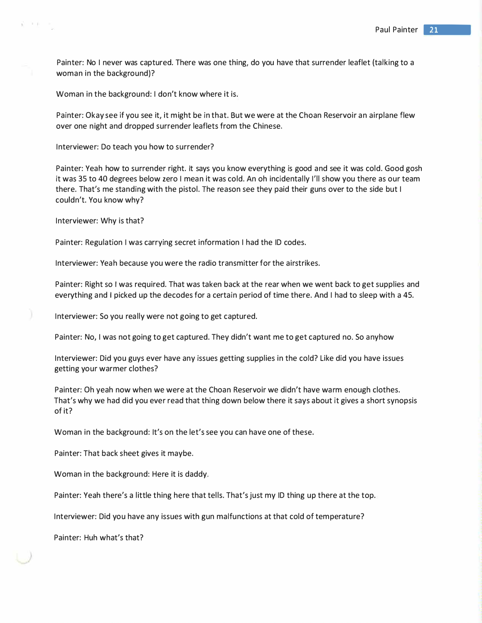Painter: No I never was captured. There was one thing, do you have that surrender leaflet (talking to a woman in the background)?

Woman in the background: I don't know where it is.

Painter: Okay see if you see it, it might be in that. But we were at the Choan Reservoir an airplane flew over one night and dropped surrender leaflets from the Chinese.

Interviewer: Do teach you how to surrender?

Painter: Yeah how to surrender right. It says you know everything is good and see it was cold. Good gosh it was 35 to 40 degrees below zero I mean it was cold. An oh incidentally I'll show you there as our team there. That's me standing with the pistol. The reason see they paid their guns over to the side but I couldn't. You know why?

Interviewer: Why is that?

前下手

Painter: Regulation I was carrying secret information I had the ID codes.

Interviewer: Yeah because you were the radio transmitter for the airstrikes.

Painter: Right so I was required. That was taken back at the rear when we went back to get supplies and everything and I picked up the decodes for a certain period of time there. And I had to sleep with a 45.

Interviewer: So you really were not going to get captured.

Painter: No, I was not going to get captured. They didn't want me to get captured no. So anyhow

Interviewer: Did you guys ever have any issues getting supplies in the cold? Like did you have issues getting your warmer clothes?

Painter: Oh yeah now when we were at the Choan Reservoir we didn't have warm enough clothes. That's why we had did you ever read that thing down below there it says about it gives a short synopsis of it?

Woman in the background: It's on the let's see you can have one of these.

Painter: That back sheet gives it maybe.

Woman in the background: Here it is daddy.

Painter: Yeah there's a little thing here that tells. That's just my ID thing up there at the top.

Interviewer: Did you have any issues with gun malfunctions at that cold of temperature?

Painter: Huh what's that?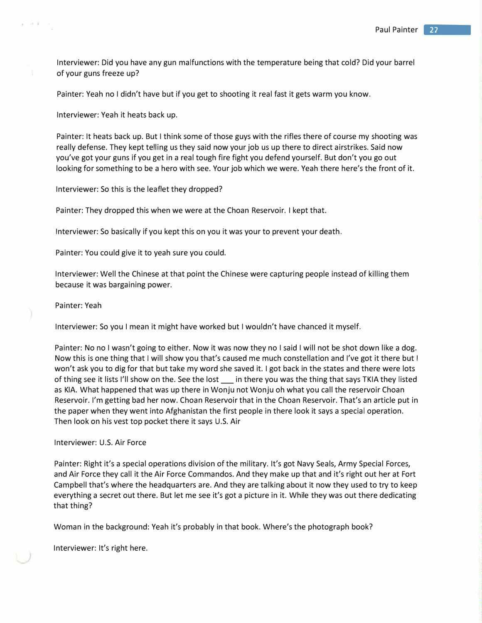Interviewer: Did you have any gun malfunctions with the temperature being that cold? Did your barrel of your guns freeze up?

Painter: Yeah no I didn't have but if you get to shooting it real fast it gets warm you know.

Interviewer: Yeah it heats back up.

Painter: It heats back up. But I think some of those guys with the rifles there of course my shooting was really defense. They kept telling us they said now your job us up there to direct airstrikes. Said now you've got your guns if you get in a real tough fire fight you defend yourself. But don't you go out looking for something to be a hero with see. Your job which we were. Yeah there here's the front of it.

Interviewer: So this is the leaflet they dropped?

Painter: They dropped this when we were at the Choan Reservoir. I kept that.

Interviewer: So basically if you kept this on you it was your to prevent your death.

Painter: You could give it to yeah sure you could.

Interviewer: Well the Chinese at that point the Chinese were capturing people instead of killing them because it was bargaining power.

Painter: Yeah

ý, ir ji

Interviewer: So you I mean it might have worked but I wouldn't have chanced it myself.

Painter: No no I wasn't going to either. Now it was now they no I said I will not be shot down like a dog. Now this is one thing that I will show you that's caused me much constellation and I've got it there but I won't ask you to dig for that but take my word she saved it. I got back in the states and there were lots of thing see it lists I'll show on the. See the lost \_\_\_ in there you was the thing that says TKIA they listed as KIA. What happened that was up there in Wonju not Wonju oh what you call the reservoir Choan Reservoir. I'm getting bad her now. Choan Reservoir that in the Choan Reservoir. That's an article put in the paper when they went into Afghanistan the first people in there look it says a special operation. Then look on his vest top pocket there it says U.S. Air

# Interviewer: U.S. Air Force

Painter: Right it's a special operations division of the military. It's got Navy Seals, Army Special Forces, and Air Force they call it the Air Force Commandos. And they make up that and it's right out her at Fort Campbell that's where the headquarters are. And they are talking about it now they used to try to keep everything a secret out there. But let me see it's got a picture in it. While they was out there dedicating that thing?

Woman in the background: Yeah it's probably in that book. Where's the photograph book?

Interviewer: It's right here.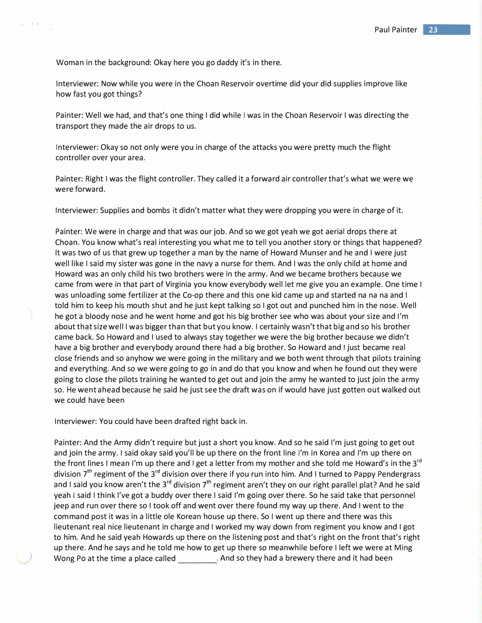Woman in the background: Okay here you go daddy it's in there.

 $\pm$   $\rightarrow$ 

Interviewer: Now while you were in the Choan Reservoir overtime did your did supplies improve like how fast you got things?

Painter: Well we had, and that's one thing I did while I was in the Choan Reservoir I was directing the transport they made the air drops to us.

Interviewer: Okay so not only were you in charge of the attacks you were pretty much the flight controller over your area.

Painter: Right I was the flight controller. They called it a forward air controller that's what we were we were forward.

Interviewer: Supplies and bombs it didn't matter what they were dropping you were in charge of it.

Painter: We were in charge and that was our job. And so we got yeah we got aerial drops there at Choan. You know what's real interesting you what me to tell you another story or things that happened? It was two of us that grew up together a man by the name of Howard Munser and he and I were just well like I said my sister was gone in the navy a nurse for them. And I was the only child at home and Howard was an only child his two brothers were in the army. And we became brothers because we came from were in that part of Virginia you know everybody well let me give you an example. One time I was unloading some fertilizer at the Co-op there and this one kid came up and started na na na and I told him to keep his mouth shut and he just kept talking so I got out and punched him in the nose. Well he got a bloody nose and he went home and got his big brother see who was about your size and I'm about that size well I was bigger than that but you know. I certainly wasn't that big and so his brother came back. So Howard and I used to always stay together we were the big brother because we didn't have a big brother and everybody around there had a big brother. So Howard and I just became real close friends and so anyhow we were going in the military and we both went through that pilots training and everything. And so we were going to go in and do that you know and when he found out they were going to close the pilots training he wanted to get out and join the army he wanted to just join the army so. He went ahead because he said he just see the draft was on if would have just gotten out walked out we could have been

Interviewer: You could have been drafted right back in.

Painter: And the Army didn't require but just a short you know. And so he said I'm just going to get out and join the army. I said okay said you'll be up there on the front line I'm in Korea and I'm up there on the front lines I mean I'm up there and I get a letter from my mother and she told me Howard's in the 3<sup>rd</sup> division 7<sup>th</sup> regiment of the 3<sup>rd</sup> division over there if you run into him. And I turned to Pappy Pendergrass and I said you know aren't the 3<sup>rd</sup> division 7<sup>th</sup> regiment aren't they on our right parallel plat? And he said yeah I said I think I've got a buddy over there I said I'm going over there. So he said take that personnel jeep and run over there so I took off and went over there found my way up there. And I went to the command post it was in a little ole Korean house up there. So I went up there and there was this lieutenant real nice lieutenant in charge and I worked my way down from regiment you know and I got to him. And he said yeah Howards up there on the listening post and that's right on the front that's right up there. And he says and he told me how to get up there so meanwhile before I left we were at Ming Wong Po at the time a place called . And so they had a brewery there and it had been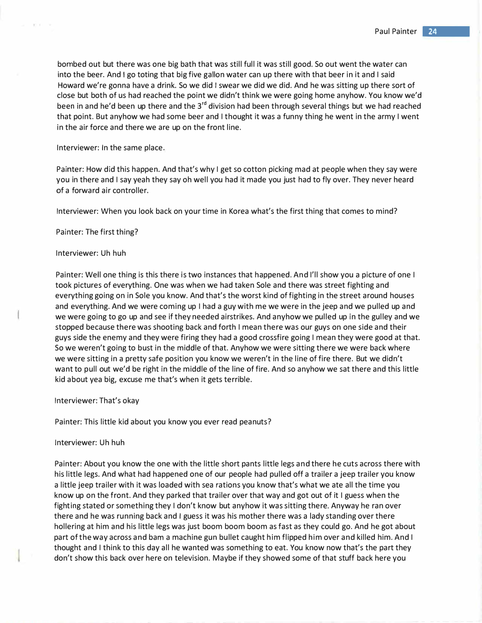bombed out but there was one big bath that was still full it was still good. So out went the water can into the beer. And I go toting that big five gallon water can up there with that beer in it and I said Howard we're gonna have a drink. So we did I swear we did we did. And he was sitting up there sort of close but both of us had reached the point we didn't think we were going home anyhow. You know we'd been in and he'd been up there and the  $3^{rd}$  division had been through several things but we had reached that point. But anyhow we had some beer and I thought it was a funny thing he went in the army I went in the air force and there we are up on the front line.

Interviewer: In the same place.

Painter: How did this happen. And that's why I get so cotton picking mad at people when they say were you in there and I say yeah they say oh well you had it made you just had to fly over. They never heard of a forward air controller.

Interviewer: When you look back on your time in Korea what's the first thing that comes to mind?

Painter: The first thing?

#### Interviewer: Uh huh

Painter: Well one thing is this there is two instances that happened. And I'll show you a picture of one I took pictures of everything. One was when we had taken Sole and there was street fighting and everything going on in Sole you know. And that's the worst kind of fighting in the street around houses and everything. And we were coming up I had a guy with me we were in the jeep and we pulled up and we were going to go up and see if they needed airstrikes. And anyhow we pulled up in the gulley and we stopped because there was shooting back and forth I mean there was our guys on one side and their guys side the enemy and they were firing they had a good crossfire going I mean they were good at that. So we weren't going to bust in the middle of that. Anyhow we were sitting there we were back where we were sitting in a pretty safe position you know we weren't in the line of fire there. But we didn't want to pull out we'd be right in the middle of the line of fire. And so anyhow we sat there and this little kid about yea big, excuse me that's when it gets terrible.

Interviewer: That's okay

Painter: This little kid about you know you ever read peanuts?

# Interviewer: Uh huh

Painter: About you know the one with the little short pants little legs and there he cuts across there with his little legs. And what had happened one of our people had pulled off a trailer a jeep trailer you know a little jeep trailer with it was loaded with sea rations you know that's what we ate all the time you know up on the front. And they parked that trailer over that way and got out of it I guess when the fighting stated or something they I don't know but anyhow it was sitting there. Anyway he ran over there and he was running back and I guess it was his mother there was a lady standing over there hollering at him and his little legs was just boom boom boom as fast as they could go. And he got about part of the way across and barn a machine gun bullet caught him flipped him over and killed him. And I thought and I think to this day all he wanted was something to eat. You know now that's the part they don't show this back over here on television. Maybe if they showed some of that stuff back here you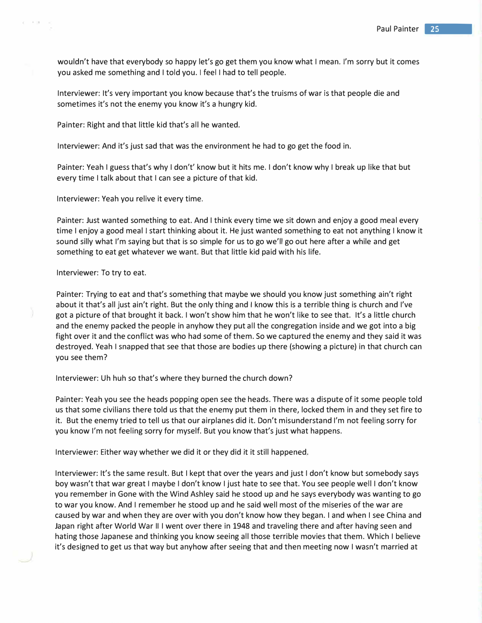wouldn't have that everybody so happy let's go get them you know what I mean. I'm sorry but it comes you asked me something and I told you. I feel I had to tell people.

Interviewer: It's very important you know because that's the truisms of war is that people die and sometimes it's not the enemy you know it's a hungry kid.

Painter: Right and that little kid that's all he wanted.

Interviewer: And it's just sad that was the environment he had to go get the food in.

Painter: Yeah I guess that's why I don't' know but it hits me. I don't know why I break up like that but every time I talk about that I can see a picture of that kid.

Interviewer: Yeah you relive it every time.

Painter: Just wanted something to eat. And I think every time we sit down and enjoy a good meal every time I enjoy a good meal I start thinking about it. He just wanted something to eat not anything I know it sound silly what I'm saying but that is so simple for us to go we'll go out here after a while and get something to eat get whatever we want. But that little kid paid with his life.

## Interviewer: To try to eat.

. '

Painter: Trying to eat and that's something that maybe we should you know just something ain't right about it that's all just ain't right. But the only thing and I know this is a terrible thing is church and I've got a picture of that brought it back. I won't show him that he won't like to see that. It's a little church and the enemy packed the people in anyhow they put all the congregation inside and we got into a big fight over it and the conflict was who had some of them. So we captured the enemy and they said it was destroyed. Yeah I snapped that see that those are bodies up there (showing a picture) in that church can you see them?

# Interviewer: Uh huh so that's where they burned the church down?

Painter: Yeah you see the heads popping open see the heads. There was a dispute of it some people told us that some civilians there told us that the enemy put them in there, locked them in and they set fire to it. But the enemy tried to tell us that our airplanes did it. Don't misunderstand I'm not feeling sorry for you know I'm not feeling sorry for myself. But you know that's just what happens.

Interviewer: Either way whether we did it or they did it it still happened.

Interviewer: It's the same result. But I kept that over the years and just I don't know but somebody says boy wasn't that war great I maybe I don't know I just hate to see that. You see people well I don't know you remember in Gone with the Wind Ashley said he stood up and he says everybody was wanting to go to war you know. And I remember he stood up and he said well most of the miseries of the war are caused by war and when they are over with you don't know how they began. I and when I see China and Japan right after World War II I went over there in 1948 and traveling there and after having seen and hating those Japanese and thinking you know seeing all those terrible movies that them. Which I believe it's designed to get us that way but anyhow after seeing that and then meeting now I wasn't married at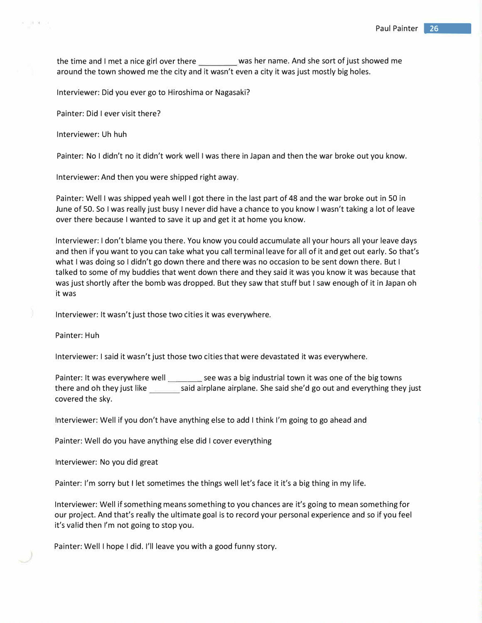the time and I met a nice girl over there was her name. And she sort of just showed me around the town showed me the city and it wasn't even a city it was just mostly big holes.

Interviewer: Did you ever go to Hiroshima or Nagasaki?

Painter: Did I ever visit there?

Interviewer: Uh huh

Painter: No I didn't no it didn't work well I was there in Japan and then the war broke out you know.

Interviewer: And then you were shipped right away.

Painter: Well I was shipped yeah well I got there in the last part of 48 and the war broke out in SO in June of 50. So I was really just busy I never did have a chance to you know I wasn't taking a lot of leave over there because I wanted to save it up and get it at home you know.

Interviewer: I don't blame you there. You know you could accumulate all your hours all your leave days and then if you want to you can take what you call terminal leave for all of it and get out early. So that's what I was doing so I didn't go down there and there was no occasion to be sent down there. But I talked to some of my buddies that went down there and they said it was you know it was because that was just shortly after the bomb was dropped. But they saw that stuff but I saw enough of it in Japan oh it was

Interviewer: It wasn't just those two cities it was everywhere.

Painter: Huh

Interviewer: I said it wasn't just those two cities that were devastated it was everywhere.

Painter: It was everywhere well \_\_\_\_\_\_\_ see was a big industrial town it was one of the big towns there and oh they just like said airplane airplane. She said she'd go out and everything they just covered the sky.

Interviewer: Well if you don't have anything else to add I think I'm going to go ahead and

Painter: Well do you have anything else did I cover everything

Interviewer: No you did great

Painter: I'm sorry but I let sometimes the things well let's face it it's a big thing in my life.

Interviewer: Well if something means something to you chances are it's going to mean something for our project. And that's really the ultimate goal is to record your personal experience and so if you feel it's valid then I'm not going to stop you.

Painter: Well I hope I did. I'll leave you with a good funny story.